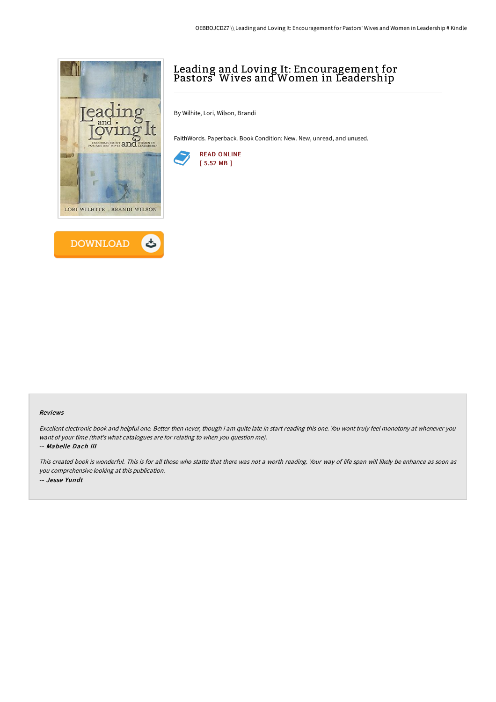



# Leading and Loving It: Encouragement for Pastors' Wives and Women in Leadership

By Wilhite, Lori, Wilson, Brandi

FaithWords. Paperback. Book Condition: New. New, unread, and unused.



#### Reviews

Excellent electronic book and helpful one. Better then never, though i am quite late in start reading this one. You wont truly feel monotony at whenever you want of your time (that's what catalogues are for relating to when you question me). -- Mabelle Dach III

This created book is wonderful. This is for all those who statte that there was not <sup>a</sup> worth reading. Your way of life span will likely be enhance as soon as you comprehensive looking at this publication. -- Jesse Yundt